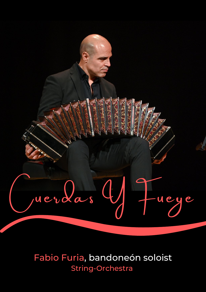

### Fabio Furia, bandoneón soloist **String-Orchestra**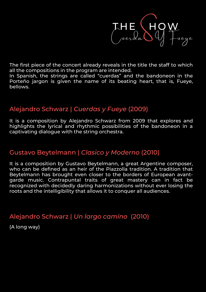

The first piece of the concert already reveals in the title the staff to which all the compositions in the program are intended.

In Spanish, the strings are called "cuerdas" and the bandoneon in the Porteño jargon is given the name of its beating heart, that is, Fueye, bellows.

### Alejandro Schwarz | *Cuerdas y Fueye* (2009)

It is a composition by Alejandro Schwarz from 2009 that explores and highlights the lyrical and rhythmic possibilities of the bandoneon in a captivating dialogue with the string orchestra.

### Gustavo Beytelmann | *Clasico y Moderno* (2010)

It is a composition by Gustavo Beytelmann, a great Argentine composer, who can be defined as an heir of the Piazzolla tradition. A tradition that Beytelmann has brought even closer to the borders of European avantgarde music. Contrapuntal traits of great mastery can in fact be recognized with decidedly daring harmonizations without ever losing the roots and the intelligibility that allows it to conquer all audiences.

### Alejandro Schwarz | *Un largo camino* (2010)

(A long way)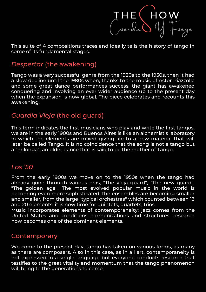

This suite of 4 compositions traces and ideally tells the history of tango in some of its fundamental stages.

### *Despertar* (the awakening)

Tango was a very successful genre from the 1920s to the 1950s, then it had a slow decline until the 1980s when, thanks to the music of Astor Piazzolla and some great dance performances success, the giant has awakened conquering and involving an ever wider audience up to the present day when the expansion is now global. The piece celebrates and recounts this awakening.

### *Guardia Vieja* (the old guard)

This term indicates the first musicians who play and write the first tangos, we are in the early 1900s and Buenos Aires is like an alchemist's laboratory in which the elements are mixed giving life to a new material that will later be called Tango. It is no coincidence that the song is not a tango but a "milonga", an older dance that is said to be the mother of Tango.

### *Los '50*

From the early 1900s we move on to the 1950s when the tango had already gone through various eras, "The vieja guard", "The new guard", "The golden age". The most evolved popular music in the world is becoming even more sophisticated, the ensembles are becoming smaller and smaller, from the large "typical orchestras" which counted between 13 and 20 elements, it is now time for quintets, quartets, trios.

Music incorporates elements of contemporaneity: jazz comes from the United States and conditions harmonizations and structures, research now becomes one of the dominant elements.

#### Contemporary

We come to the present day, tango has taken on various forms, as many as there are composers. Also in this case, as in all art, contemporaneity is not expressed in a single language but everyone conducts research that testifies to the great vitality and momentum that the tango phenomenon will bring to the generations to come.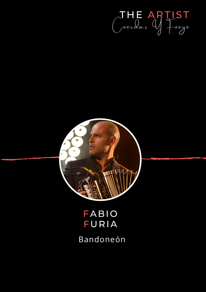



## FABIO FURIA Bandoneón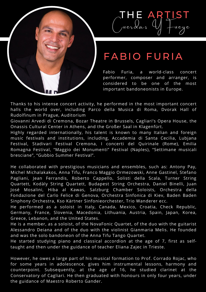

# T H E ARTIST ruerdas Y Fueye

## FABIO FURIA

Fabio Furia, a world-class concert performer, composer and arranger, is considered to be one of the most important bandoneonists in Europe.

Thanks to his intense concert activity, he performed in the most important concert halls the world over, including Parco della Musica di Roma, Dvorak Hall of Rudolfinum in Prague, Auditorium

Giovanni Arvedi di Cremona, Bozar Theatre in Brussels, Cagliari's Opera House, the Onassis Cultural Center in Athens, and the Großer Saal in Klagenfürt.

Highly regarded internationally, his talent is known to many Italian and foreign music festivals and institutions, including, Accademia di Santa Cecilia, Lubjana Festival, Stadivari Festival Cremona, I concerti del Quirinale (Rome), Emilia Romagna Festival, "Maggio dei Monumenti" Festival (Naples), "Settimane musicali bresciane", "Gubbio Summer Festival".

He collaborated with prestigious musicians and ensembles, such as: Antony Pay, Michel Michalakakos, Anna Tifu, Franco Maggio Ormezowski, Anne Gastinel, Stefano Pagliani, Jean Ferrandis, Roberto Cappello, Solisti della Scala, Turner String Quartett, Kodàly String Quartett, Budapest String Orchestra, Daniel Binelli, Juan José Mosalini, Hiba al Kawas, Salzburg Chamber Soloists, Orchestra della Fondazione del Carlo Felice di Genova, Orchestra Sinfonica di Kiev, Baden Baden Sinphony Orchestra, Kso Kärtner Sinfonieorchester, Trio Wanderer ecc.

He performed as a soloist in Italy, Canada, Mexico, Croatia, Check Republic, Germany, France, Slovenia, Macedonia, Lithuania, Austria, Spain, Japan, Korea, Greece, Lebanon, and the United States.

He is a member, as a soloist, of the NovaFonic Quartet, of the duo with the guitarist Alessandro Deiana and of the duo with the violinist Gianmaria Melis. He founded and was the solo bandoneon of the Anna Tifu Tango Quartet.

He started studying piano and classical accordion at the age of 7, first as selftaught and then under the guidance of teacher Eliana Zajec in Trieste.

However, he owes a large part of his musical formation to Prof. Corrado Rojac, who for some years in adolescence, gives him instrumental lessons, harmony and counterpoint. Subsequently, at the age of 16, he studied clarinet at the Conservatory of Cagliari. He then graduated with honours in only four years, under the guidance of Maestro Roberto Gander.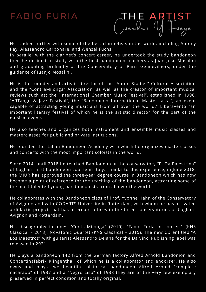### **FABIO FURIA**

T H E ARTIST yuerdas Y fueye

He studied further with some of the best clarinetists in the world, including Antony Pay, Alessandro Carbonare, and Wenzel Fuchs.

In parallel with the clarinet's concert career, he undertook the study bandoneon then he decided to study with the best bandoneon teachers as Juan José Mosalini and graduating brilliantly at the Conservatory of Paris Gennevilliers, under the guidance of Juanjo Mosalini.

He is the founder and artistic director of the "Anton Stadler" Cultural Association and the "ContraMilonga" Association, as well as the creator of important musical reviews such as: the "International Chamber Music Festival", established in 1998, "ARTango & Jazz Festival", the "Bandoneon International Masterclass ", an event capable of attracting young musicians from all over the world," Liberavento "an important literary festival of which he is the artistic director for the part of the musical events.

He also teaches and organizes both instrument and ensemble music classes and masterclasses for public and private institutions.

He founded the Italian Bandoneon Academy with which he organizes masterclasses and concerts with the most important soloists in the world.

Since 2014, until 2018 he teached Bandoneon at the conservatory "P. Da Palestrina" of Cagliari, first bandoneon course in Italy. Thanks to this experience, in June 2018, the MIUR has approved the three-year degree course in Bandoneon which has now become a point of reference for the teaching of the bandoneon, attracting some of the most talented young bandoneonists from all over the world.

He collaborates with the Bandoneon class of Prof. Yvonne Hahn of the Conservatory of Avignon and with CODARTS University in Rotterdam, with whom he has activated a didactic project that has alternate offices in the three conservatories of Cagliari, Avignon and Rotterdam.

His discography includes "ContraMilonga" (2010), "Fabio Furia in concert" (KNS Classical – 2013), Novafonic Quartet (KNS Classical – 2015). The new CD entitled "A Los Maestros" with guitarist Alessandro Deiana for the Da Vinci Publishing label was released in 2021.

He plays a bandoneon 142 from the German factory Alfred Arnold Bandonion and Concertinafabrik Klingenthal, of which he is a collaborator and endorser. He also owns and plays two beautiful historical bandoneon Alfred Arnold "complete nacarado" of 1937 and a "Negro Liso" of 1938 they are of the very few exemplary preserved in perfect condition and totally original.